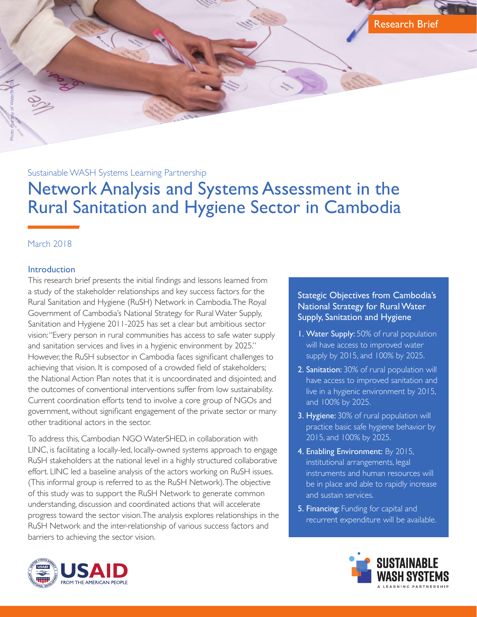Research Brief

Sustainable WASH Systems Learning Partnership

# Network Analysis and Systems Assessment in the Rural Sanitation and Hygiene Sector in Cambodia

# March 2018

Photo courtesy of WaterSHED

#### **Introduction**

This research brief presents the initial findings and lessons learned from a study of the stakeholder relationships and key success factors for the Rural Sanitation and Hygiene (RuSH) Network in Cambodia. The Royal Government of Cambodia's National Strategy for Rural Water Supply, Sanitation and Hygiene 2011-2025 has set a clear but ambitious sector vision: "Every person in rural communities has access to safe water supply and sanitation services and lives in a hygienic environment by 2025." However, the RuSH subsector in Cambodia faces significant challenges to achieving that vision. It is composed of a crowded field of stakeholders; the National Action Plan notes that it is uncoordinated and disjointed; and the outcomes of conventional interventions suffer from low sustainability. Current coordination efforts tend to involve a core group of NGOs and government, without significant engagement of the private sector or many other traditional actors in the sector.

To address this, Cambodian NGO WaterSHED, in collaboration with LINC, is facilitating a locally-led, locally-owned systems approach to engage RuSH stakeholders at the national level in a highly structured collaborative effort. LINC led a baseline analysis of the actors working on RuSH issues. (This informal group is referred to as the RuSH Network). The objective of this study was to support the RuSH Network to generate common understanding, discussion and coordinated actions that will accelerate progress toward the sector vision. The analysis explores relationships in the RuSH Network and the inter-relationship of various success factors and barriers to achieving the sector vision.



- **I. Water Supply:** 50% of rural population will have access to improved water supply by 2015, and 100% by 2025.
- 2. Sanitation: 30% of rural population will have access to improved sanitation and live in a hygienic environment by 2015, and 100% by 2025.
- 3. Hygiene: 30% of rural population will practice basic safe hygiene behavior by 2015, and 100% by 2025.
- 4. Enabling Environment: By 2015, institutional arrangements, legal instruments and human resources will be in place and able to rapidly increase and sustain services.
- 5. Financing: Funding for capital and recurrent expenditure will be available.



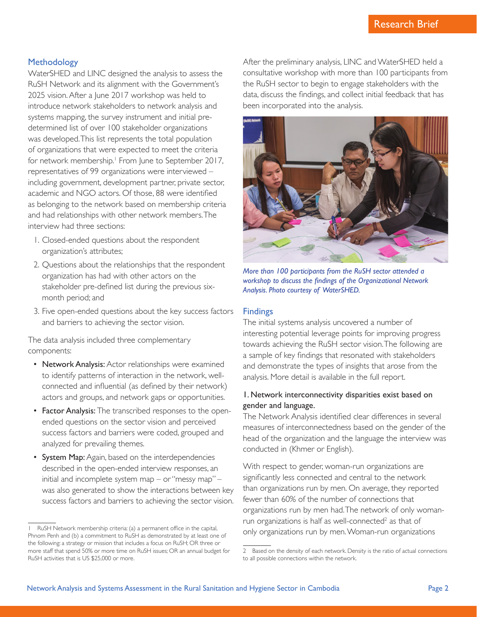#### **Methodology**

WaterSHED and LINC designed the analysis to assess the RuSH Network and its alignment with the Government's 2025 vision. After a June 2017 workshop was held to introduce network stakeholders to network analysis and systems mapping, the survey instrument and initial predetermined list of over 100 stakeholder organizations was developed. This list represents the total population of organizations that were expected to meet the criteria for network membership.<sup>1</sup> From June to September 2017, representatives of 99 organizations were interviewed – including government, development partner, private sector, academic and NGO actors. Of those, 88 were identified as belonging to the network based on membership criteria and had relationships with other network members. The interview had three sections:

- 1. Closed-ended questions about the respondent organization's attributes;
- 2. Questions about the relationships that the respondent organization has had with other actors on the stakeholder pre-defined list during the previous sixmonth period; and
- 3. Five open-ended questions about the key success factors and barriers to achieving the sector vision.

The data analysis included three complementary components:

- Network Analysis: Actor relationships were examined to identify patterns of interaction in the network, wellconnected and influential (as defined by their network) actors and groups, and network gaps or opportunities.
- Factor Analysis: The transcribed responses to the openended questions on the sector vision and perceived success factors and barriers were coded, grouped and analyzed for prevailing themes.
- System Map: Again, based on the interdependencies described in the open-ended interview responses, an initial and incomplete system map – or "messy map" – was also generated to show the interactions between key success factors and barriers to achieving the sector vision.

After the preliminary analysis, LINC and WaterSHED held a consultative workshop with more than 100 participants from the RuSH sector to begin to engage stakeholders with the data, discuss the findings, and collect initial feedback that has been incorporated into the analysis.



*More than 100 participants from the RuSH sector attended a workshop to discuss the findings of the Organizational Network Analysis. Photo courtesy of WaterSHED.*

#### Findings

The initial systems analysis uncovered a number of interesting potential leverage points for improving progress towards achieving the RuSH sector vision. The following are a sample of key findings that resonated with stakeholders and demonstrate the types of insights that arose from the analysis. More detail is available in the full report.

### 1. Network interconnectivity disparities exist based on gender and language.

The Network Analysis identified clear differences in several measures of interconnectedness based on the gender of the head of the organization and the language the interview was conducted in (Khmer or English).

With respect to gender, woman-run organizations are significantly less connected and central to the network than organizations run by men. On average, they reported fewer than 60% of the number of connections that organizations run by men had. The network of only womanrun organizations is half as well-connected<sup>2</sup> as that of only organizations run by men. Woman-run organizations

RuSH Network membership criteria: (a) a permanent office in the capital, Phnom Penh and (b) a commitment to RuSH as demonstrated by at least one of the following: a strategy or mission that includes a focus on RuSH; OR three or more staff that spend 50% or more time on RuSH issues; OR an annual budget for RuSH activities that is US \$25,000 or more.

<sup>2</sup> Based on the density of each network. Density is the ratio of actual connections to all possible connections within the network.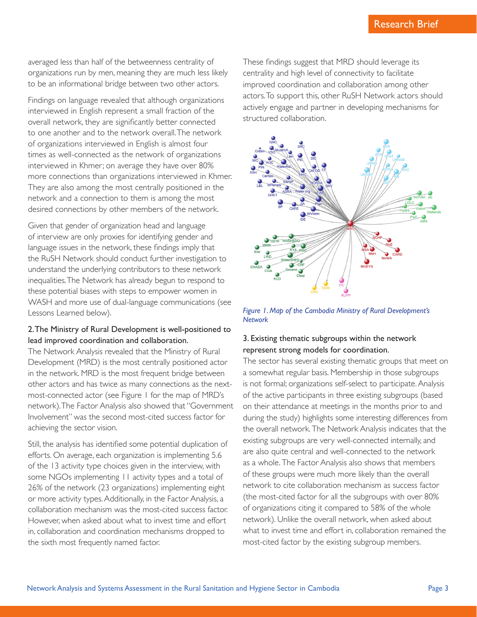averaged less than half of the betweenness centrality of organizations run by men, meaning they are much less likely to be an informational bridge between two other actors.

Findings on language revealed that although organizations interviewed in English represent a small fraction of the overall network, they are significantly better connected to one another and to the network overall. The network of organizations interviewed in English is almost four times as well-connected as the network of organizations interviewed in Khmer; on average they have over 80% more connections than organizations interviewed in Khmer. They are also among the most centrally positioned in the network and a connection to them is among the most desired connections by other members of the network.

Given that gender of organization head and language of interview are only proxies for identifying gender and language issues in the network, these findings imply that the RuSH Network should conduct further investigation to understand the underlying contributors to these network inequalities. The Network has already begun to respond to these potential biases with steps to empower women in WASH and more use of dual-language communications (see Lessons Learned below).

## 2. The Ministry of Rural Development is well-positioned to lead improved coordination and collaboration.

The Network Analysis revealed that the Ministry of Rural Development (MRD) is the most centrally positioned actor in the network. MRD is the most frequent bridge between other actors and has twice as many connections as the nextmost-connected actor (see Figure 1 for the map of MRD's network). The Factor Analysis also showed that "Government Involvement" was the second most-cited success factor for achieving the sector vision.

Still, the analysis has identified some potential duplication of efforts. On average, each organization is implementing 5.6 of the 13 activity type choices given in the interview, with some NGOs implementing 11 activity types and a total of 26% of the network (23 organizations) implementing eight or more activity types. Additionally, in the Factor Analysis, a collaboration mechanism was the most-cited success factor. However, when asked about what to invest time and effort in, collaboration and coordination mechanisms dropped to the sixth most frequently named factor.

These findings suggest that MRD should leverage its centrality and high level of connectivity to facilitate improved coordination and collaboration among other actors. To support this, other RuSH Network actors should actively engage and partner in developing mechanisms for structured collaboration.



*Figure 1. Map of the Cambodia Ministry of Rural Development's Network*

# 3. Existing thematic subgroups within the network represent strong models for coordination.

The sector has several existing thematic groups that meet on a somewhat regular basis. Membership in those subgroups is not formal; organizations self-select to participate. Analysis of the active participants in three existing subgroups (based on their attendance at meetings in the months prior to and during the study) highlights some interesting differences from the overall network. The Network Analysis indicates that the existing subgroups are very well-connected internally, and are also quite central and well-connected to the network as a whole. The Factor Analysis also shows that members of these groups were much more likely than the overall network to cite collaboration mechanism as success factor (the most-cited factor for all the subgroups with over 80% of organizations citing it compared to 58% of the whole network). Unlike the overall network, when asked about what to invest time and effort in, collaboration remained the most-cited factor by the existing subgroup members.